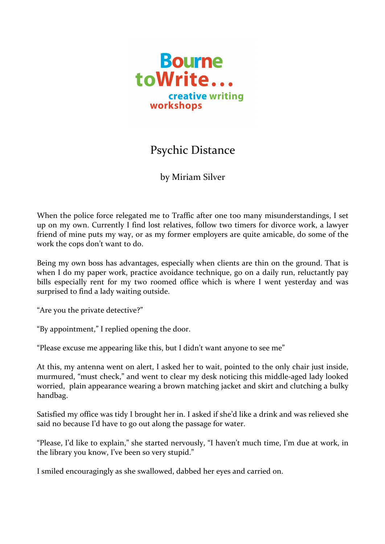

## Psychic Distance

by Miriam Silver

When the police force relegated me to Traffic after one too many misunderstandings, I set up on my own. Currently I find lost relatives, follow two timers for divorce work, a lawyer friend of mine puts my way, or as my former employers are quite amicable, do some of the work the cops don't want to do.

Being my own boss has advantages, especially when clients are thin on the ground. That is when I do my paper work, practice avoidance technique, go on a daily run, reluctantly pay bills especially rent for my two roomed office which is where I went yesterday and was surprised to find a lady waiting outside.

"Are you the private detective?"

"By appointment," I replied opening the door.

"Please excuse me appearing like this, but I didn't want anyone to see me"

At this, my antenna went on alert, I asked her to wait, pointed to the only chair just inside, murmured, "must check," and went to clear my desk noticing this middle-aged lady looked worried, plain appearance wearing a brown matching jacket and skirt and clutching a bulky handbag.

Satisfied my office was tidy I brought her in. I asked if she'd like a drink and was relieved she said no because I'd have to go out along the passage for water.

"Please, I'd like to explain," she started nervously, "I haven't much time, I'm due at work, in the library you know, I've been so very stupid."

I smiled encouragingly as she swallowed, dabbed her eyes and carried on.